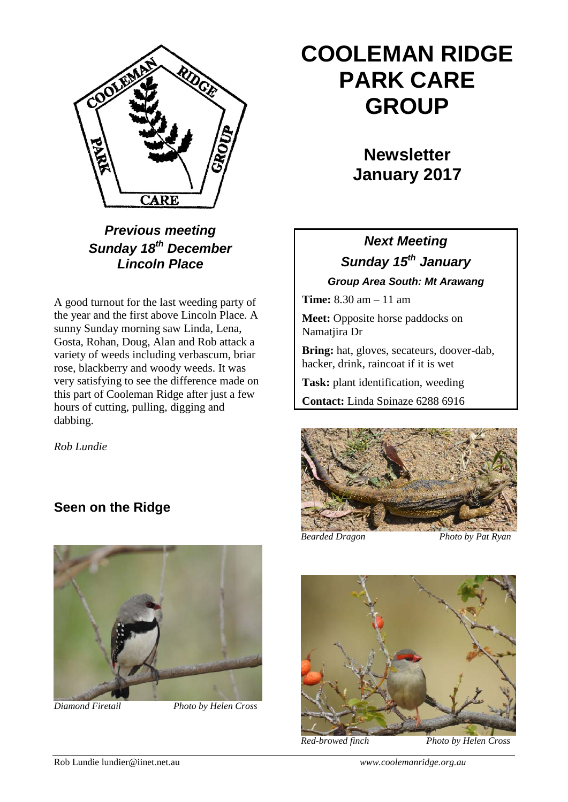

*Previous meeting Sunday 18th December Lincoln Place*

A good turnout for the last weeding party of the year and the first above Lincoln Place. A sunny Sunday morning saw Linda, Lena, Gosta, Rohan, Doug, Alan and Rob attack a variety of weeds including verbascum, briar rose, blackberry and woody weeds. It was very satisfying to see the difference made on this part of Cooleman Ridge after just a few hours of cutting, pulling, digging and dabbing.

*Rob Lundie*

## **Seen on the Ridge**



*Diamond Firetail Photo by Helen Cross*

## **COOLEMAN RIDGE PARK CARE GROUP**

**Newsletter January 2017**

## *Next Meeting Sunday 15th January Group Area South: Mt Arawang*

**Time:** 8.30 am – 11 am

**Meet:** Opposite horse paddocks on Namatjira Dr

**Bring:** hat, gloves, secateurs, doover-dab, hacker, drink, raincoat if it is wet

**Task:** plant identification, weeding

**Contact:** Linda Spinaze 6288 6916



*Bearded Dragon Photo by Pat Ryan*



*Red-browed finch Photo by Helen Cross*